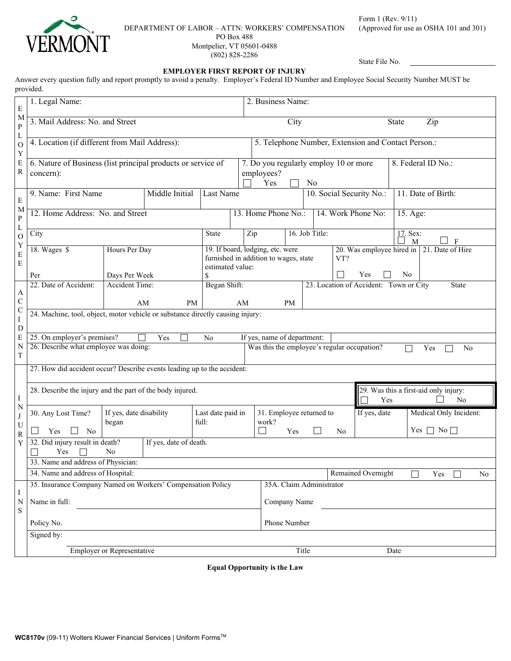

### DEPARTMENT OF LABOR – ATTN: WORKERS' COMPENSATION PO Box 488

Montpelier, VT 05601-0488 (802) 828-2286

Form 1 (Rev. 9/11) (Approved for use as OSHA 101 and 301)

State File No.

## **EMPLOYER FIRST REPORT OF INJURY**

Answer every question fully and report promptly to avoid a penalty. Employer's Federal ID Number and Employee Social Security Number MUST be provided.

| ${\bf E}$                                                                          | 1. Legal Name:                                                                                    |                                                                                                                                       |  |                            |    | 2. Business Name:                                                                                             |                                                         |  |                    |                     |                    |                                                         |  |
|------------------------------------------------------------------------------------|---------------------------------------------------------------------------------------------------|---------------------------------------------------------------------------------------------------------------------------------------|--|----------------------------|----|---------------------------------------------------------------------------------------------------------------|---------------------------------------------------------|--|--------------------|---------------------|--------------------|---------------------------------------------------------|--|
| M<br>${\bf P}$                                                                     | 3. Mail Address: No. and Street                                                                   |                                                                                                                                       |  |                            |    | City                                                                                                          |                                                         |  |                    | Zip<br><b>State</b> |                    |                                                         |  |
| $\Gamma$<br>$\mathcal{O}$<br>Y                                                     | 4. Location (if different from Mail Address):                                                     |                                                                                                                                       |  |                            |    | 5. Telephone Number, Extension and Contact Person.:                                                           |                                                         |  |                    |                     |                    |                                                         |  |
| E<br>${\bf R}$                                                                     | 6. Nature of Business (list principal products or service of<br>concern):                         |                                                                                                                                       |  |                            |    | employees?<br>Yes                                                                                             | 7. Do you regularly employ 10 or more<br>N <sub>0</sub> |  |                    |                     | 8. Federal ID No.: |                                                         |  |
| ${\bf E}$<br>M<br>${\bf P}$<br>L<br>$\mathcal{O}$<br>Y<br>$\mathbf E$<br>${\bf E}$ | 9. Name: First Name<br>Middle Initial                                                             |                                                                                                                                       |  | Last Name                  |    |                                                                                                               | 10. Social Security No.:                                |  | 11. Date of Birth: |                     |                    |                                                         |  |
|                                                                                    | 12. Home Address: No. and Street                                                                  |                                                                                                                                       |  |                            |    | 13. Home Phone No.:<br>14. Work Phone No:<br>15. Age:                                                         |                                                         |  |                    |                     |                    |                                                         |  |
|                                                                                    | City                                                                                              |                                                                                                                                       |  | State                      |    | 16. Job Title:<br>Zip                                                                                         |                                                         |  | 17. Sex:<br>M      |                     |                    |                                                         |  |
|                                                                                    | 18. Wages \$<br>Hours Per Day                                                                     |                                                                                                                                       |  | estimated value:           |    | 19. If board, lodging, etc. were<br>20. Was employee hired in<br>furnished in addition to wages, state<br>VT? |                                                         |  | 21. Date of Hire   |                     |                    |                                                         |  |
|                                                                                    | Per                                                                                               | Days Per Week                                                                                                                         |  |                            | \$ |                                                                                                               |                                                         |  | Yes<br>No          |                     |                    |                                                         |  |
| A<br>$\mathbf C$                                                                   | 22. Date of Accident:                                                                             | <b>Accident Time:</b><br>Began Shift:<br>23. Location of Accident: Town or City<br><b>State</b><br>AM<br><b>PM</b><br>AM<br><b>PM</b> |  |                            |    |                                                                                                               |                                                         |  |                    |                     |                    |                                                         |  |
| $\mathbf C$                                                                        | 24. Machine, tool, object, motor vehicle or substance directly causing injury:                    |                                                                                                                                       |  |                            |    |                                                                                                               |                                                         |  |                    |                     |                    |                                                         |  |
| I<br>${\bf D}$                                                                     |                                                                                                   |                                                                                                                                       |  |                            |    |                                                                                                               |                                                         |  |                    |                     |                    |                                                         |  |
| E                                                                                  | 25. On employer's premises?<br>If yes, name of department:<br>Yes<br>No                           |                                                                                                                                       |  |                            |    |                                                                                                               |                                                         |  |                    |                     |                    |                                                         |  |
| N<br>T                                                                             | 26. Describe what employee was doing:<br>Was this the employee's regular occupation?<br>Yes<br>No |                                                                                                                                       |  |                            |    |                                                                                                               |                                                         |  |                    |                     |                    |                                                         |  |
|                                                                                    | 27. How did accident occur? Describe events leading up to the accident:                           |                                                                                                                                       |  |                            |    |                                                                                                               |                                                         |  |                    |                     |                    |                                                         |  |
| I<br>$\mathbf N$                                                                   | 28. Describe the injury and the part of the body injured.                                         |                                                                                                                                       |  |                            |    |                                                                                                               |                                                         |  |                    | Yes                 |                    | 29. Was this a first-aid only injury:<br>N <sub>0</sub> |  |
| J<br>U                                                                             | 30. Any Lost Time?<br>No<br>Yes                                                                   | If yes, date disability<br>began                                                                                                      |  | Last date paid in<br>full: |    | work?<br>$\mathbf{I}$                                                                                         | 31. Employee returned to<br>Yes                         |  | N <sub>0</sub>     | If yes, date        |                    | Medical Only Incident:<br>Yes $\Box$ No $\Box$          |  |
| $\mathbf R$<br>Y                                                                   | 32. Did injury result in death?<br>If yes, date of death.<br>Yes<br>N <sub>0</sub>                |                                                                                                                                       |  |                            |    |                                                                                                               |                                                         |  |                    |                     |                    |                                                         |  |
|                                                                                    | 33. Name and address of Physician:                                                                |                                                                                                                                       |  |                            |    |                                                                                                               |                                                         |  |                    |                     |                    |                                                         |  |
|                                                                                    | 34. Name and address of Hospital:                                                                 |                                                                                                                                       |  |                            |    | Remained Overnight<br>Yes                                                                                     |                                                         |  |                    | No                  |                    |                                                         |  |
| Ι<br>N<br>${\bf S}$                                                                | 35. Insurance Company Named on Workers' Compensation Policy                                       |                                                                                                                                       |  |                            |    | 35A. Claim Administrator                                                                                      |                                                         |  |                    |                     |                    |                                                         |  |
|                                                                                    | Name in full:                                                                                     |                                                                                                                                       |  |                            |    | Company Name                                                                                                  |                                                         |  |                    |                     |                    |                                                         |  |
|                                                                                    | Policy No.                                                                                        |                                                                                                                                       |  |                            |    | Phone Number                                                                                                  |                                                         |  |                    |                     |                    |                                                         |  |
| Signed by:                                                                         |                                                                                                   |                                                                                                                                       |  |                            |    |                                                                                                               |                                                         |  |                    |                     |                    |                                                         |  |
|                                                                                    | <b>Employer or Representative</b><br>Title<br>Date                                                |                                                                                                                                       |  |                            |    |                                                                                                               |                                                         |  |                    |                     |                    |                                                         |  |
|                                                                                    |                                                                                                   |                                                                                                                                       |  |                            |    |                                                                                                               |                                                         |  |                    |                     |                    |                                                         |  |

**Equal Opportunity is the Law**